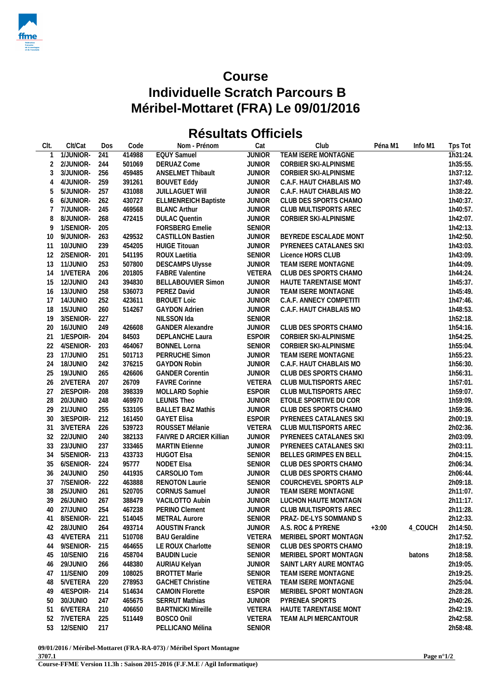

## **Course Individuelle Scratch Parcours B** Méribel-Mottaret (FRA) Le 09/01/2016

## **Résultats Officiels**

| CIt.            | Clt/Cat              | Dos        | Code             | Nom - Prénom                          | Cat                            | Club                                           | Péna M1 | Info M1 | Tps Tot              |
|-----------------|----------------------|------------|------------------|---------------------------------------|--------------------------------|------------------------------------------------|---------|---------|----------------------|
|                 | 1/JUNIOR-            | 241        | 414988           | <b>EQUY Samuel</b>                    | <b>JUNIOR</b>                  | TEAM ISERE MONTAGNE                            |         |         | $\overline{1h}31:24$ |
| 2               | 2/JUNIOR-            | 244        | 501069           | <b>DERUAZ Come</b>                    | <b>JUNIOR</b>                  | CORBIER SKI-ALPINISME                          |         |         | 1h35:55              |
| 3               | 3/JUNIOR-            | 256        | 459485           | ANSELMET Thibault                     | <b>JUNIOR</b>                  | CORBIER SKI-ALPINISME                          |         |         | 1h37:12              |
| 4               | 4/JUNIOR-            | 259        | 391261           | <b>BOUVET Eddy</b>                    | <b>JUNIOR</b>                  | C.A.F. HAUT CHABLAIS MO                        |         |         | 1h37:49              |
| 5               | 5/JUNIOR-            | 257        | 431088           | <b>JUILLAGUET WIII</b>                | <b>JUNIOR</b>                  | C.A.F. HAUT CHABLAIS MO                        |         |         | 1h38:22              |
| 6               | 6/JUNIOR-            | 262        | 430727           | <b>ELLMENREICH Baptiste</b>           | <b>JUNIOR</b>                  | CLUB DES SPORTS CHAMO                          |         |         | 1h40:37              |
| 7               | 7/JUNIOR-            | 245        | 469568           | <b>BLANC Arthur</b>                   | <b>JUNIOR</b>                  | CLUB MULTISPORTS AREC                          |         |         | 1h40:57              |
| 8               | 8/JUNIOR-            | 268        | 472415           | <b>DULAC Quentin</b>                  | <b>JUNIOR</b>                  | CORBIER SKI-ALPINISME                          |         |         | 1h42:07              |
| 9               | 1/SENIOR-            | 205        |                  | FORSBERG Emelie                       | <b>SENIOR</b>                  |                                                |         |         | 1h42:13              |
| 10 <sup>°</sup> | 9/JUNIOR-            | 263        | 429532           | <b>CASTILLON Bastien</b>              | <b>JUNIOR</b>                  | BEYREDE ESCALADE MONT                          |         |         | 1h42:50              |
| 11              | 10/JUNIO             | 239        | 454205           | <b>HUIGE Titouan</b>                  | <b>JUNIOR</b>                  | PYRENEES CATALANES SKI                         |         |         | 1h43:03              |
| 12              | 2/SENIOR-            | 201        | 541195           | ROUX Laetitia                         | <b>SENIOR</b>                  | Licence HORS CLUB                              |         |         | 1h43:09              |
| 13              | 11/JUNIO             | 253        | 507800           | <b>DESCAMPS Ulysse</b>                | <b>JUNIOR</b>                  | TEAM ISERE MONTAGNE                            |         |         | 1h44:09              |
| 14              | 1/VETERA             | 206        | 201805           | <b>FABRE Valentine</b>                | VETERA                         | CLUB DES SPORTS CHAMO                          |         |         | 1h44:24              |
| 15              | 12/JUNIO             | 243        | 394830           | <b>BELLABOUVIER Simon</b>             | <b>JUNIOR</b>                  | HAUTE TARENTAISE MONT                          |         |         | 1h45:37              |
| 16              | 13/JUNIO             | 258        | 536073           | PEREZ David                           | <b>JUNIOR</b>                  | TEAM ISERE MONTAGNE                            |         |         | 1h45:49              |
| 17              | 14/JUNIO             | 252        | 423611           | <b>BROUET Loic</b>                    | <b>JUNIOR</b>                  | C.A.F. ANNECY COMPETITI                        |         |         | 1h47:46              |
| 18              | 15/JUNIO             | 260        | 514267           | <b>GAYDON Adrien</b>                  | <b>JUNIOR</b>                  | C.A.F. HAUT CHABLAIS MO                        |         |         | 1h48:53              |
| 19              | 3/SENIOR-            | 227        |                  | NILSSON Ida                           | <b>SENIOR</b>                  |                                                |         |         | 1h52:18              |
| 20              | 16/JUNIO             | 249        | 426608           | <b>GANDER Alexandre</b>               | <b>JUNIOR</b>                  | CLUB DES SPORTS CHAMO                          |         |         | 1h54:16              |
| 21              | 1/ESPOIR-            | 204        | 84503            | DEPLANCHE Laura                       | <b>ESPOIR</b>                  | CORBIER SKI-ALPINISME                          |         |         | 1h54:25              |
| 22              | 4/SENIOR-            | 203        | 464067           | <b>BONNEL Lorna</b>                   | <b>SENIOR</b>                  | CORBIER SKI-ALPINISME                          |         |         | 1h55:04              |
| 23              |                      |            |                  |                                       |                                |                                                |         |         |                      |
| 24              | 17/JUNIO<br>18/JUNIO | 251<br>242 | 501713<br>376215 | PERRUCHE Simon<br><b>GAYDON Robin</b> | <b>JUNIOR</b><br><b>JUNIOR</b> | TEAM ISERE MONTAGNE<br>C.A.F. HAUT CHABLAIS MO |         |         | 1h55:23<br>1h56:30   |
|                 |                      |            |                  |                                       |                                |                                                |         |         |                      |
| 25              | 19/JUNIO             | 265        | 426606           | <b>GANDER Corentin</b>                | <b>JUNIOR</b>                  | CLUB DES SPORTS CHAMO                          |         |         | 1h56:31              |
| 26              | 2/VETERA             | 207        | 26709            | <b>FAVRE Corinne</b>                  | VETERA                         | CLUB MULTISPORTS AREC                          |         |         | 1h57:01              |
| 27              | 2/ESPOIR-            | 208        | 398339           | MOLLARD Sophie                        | <b>ESPOIR</b>                  | CLUB MULTISPORTS AREC                          |         |         | 1h59:07              |
| 28              | 20/JUNIO             | 248        | 469970           | <b>LEUNIS Theo</b>                    | <b>JUNIOR</b>                  | ETOILE SPORTIVE DU COR                         |         |         | 1h59:09              |
| 29              | 21/JUNIO             | 255        | 533105           | <b>BALLET BAZ Mathis</b>              | <b>JUNIOR</b>                  | CLUB DES SPORTS CHAMO                          |         |         | 1h59:36              |
| 30              | 3/ESPOIR-            | 212        | 161450           | <b>GAYET Elisa</b>                    | <b>ESPOIR</b>                  | PYRENEES CATALANES SKI                         |         |         | 2h00:19              |
| 31              | 3/VETERA             | 226        | 539723           | ROUSSET Mélanie                       | VETERA                         | CLUB MULTISPORTS AREC                          |         |         | 2h02:36              |
| 32              | 22/JUNIO             | 240        | 382133           | <b>FAIVRE D ARCIER Killian</b>        | <b>JUNIOR</b>                  | PYRENEES CATALANES SKI                         |         |         | 2h03:09              |
| 33              | 23/JUNIO             | 237        | 333465           | <b>MARTIN Etienne</b>                 | <b>JUNIOR</b>                  | PYRENEES CATALANES SKI                         |         |         | 2h03:11              |
| 34              | 5/SENIOR-            | 213        | 433733           | <b>HUGOT EIsa</b>                     | <b>SENIOR</b>                  | BELLES GRIMPES EN BELL                         |         |         | 2h04:15              |
| 35              | 6/SENIOR-            | 224        | 95777            | NODET Elsa                            | <b>SENIOR</b>                  | CLUB DES SPORTS CHAMO                          |         |         | 2h06:34              |
| 36              | 24/JUNIO             | 250        | 441935           | CARSOLIO Tom                          | <b>JUNIOR</b>                  | CLUB DES SPORTS CHAMO                          |         |         | 2h06:44              |
| 37              | 7/SENIOR-            | 222        | 463888           | <b>RENOTON Laurie</b>                 | <b>SENIOR</b>                  | COURCHEVEL SPORTS ALP                          |         |         | 2h09:18              |
| 38              | 25/JUNIO             | 261        | 520705           | <b>CORNUS Samuel</b>                  | <b>JUNIOR</b>                  | TEAM ISERE MONTAGNE                            |         |         | 2h11:07              |
| 39              | 26/JUNIO             | 267        | 388479           | VACILOTTO Aubin                       | <b>JUNIOR</b>                  | LUCHON HAUTE MONTAGN                           |         |         | 2h11:17              |
| 40              | 27/JUNIO             | 254        | 467238           | PERINO Clement                        | JUNIOR                         | CLUB MULTISPORTS AREC                          |         |         | 2h11:28              |
| 41              | 8/SENIOR-            | 221        | 514045           | <b>METRAL Aurore</b>                  | <b>SENIOR</b>                  | PRAZ- DE-LYS SOMMAND S                         |         |         | 2h12:33              |
| 42              | 28/JUNIO             | 264        | 493714           | <b>AOUSTIN Franck</b>                 | <b>JUNIOR</b>                  | A.S. ROC & PYRENE                              | $+3:00$ | 4_COUCH | 2h14:50              |
| 43              | 4/VETERA             | 211        | 510708           | <b>BAU Geraldine</b>                  | VETERA                         | MERIBEL SPORT MONTAGN                          |         |         | 2h17:52              |
| 44              | 9/SENIOR-            | 215        | 464655           | LE ROUX Charlotte                     | <b>SENIOR</b>                  | CLUB DES SPORTS CHAMO                          |         |         | 2h18:19              |
| 45              | 10/SENIO             | 216        | 458704           | <b>BAUDIN Lucie</b>                   | <b>SENIOR</b>                  | MERIBEL SPORT MONTAGN                          |         | batons  | 2h18:58              |
| 46              | 29/JUNIO             | 266        | 448380           | AURIAU Kelyan                         | <b>JUNIOR</b>                  | SAINT LARY AURE MONTAG                         |         |         | 2h19:05              |
| 47              | 11/SENIO             | 209        | 108025           | <b>BROTTET Marie</b>                  | <b>SENIOR</b>                  | TEAM ISERE MONTAGNE                            |         |         | 2h19:25              |
| 48              | 5/VETERA             | 220        | 278953           | <b>GACHET Christine</b>               | VETERA                         | TEAM ISERE MONTAGNE                            |         |         | 2h25:04              |
| 49              | 4/ESPOIR-            | 214        | 514634           | <b>CAMOIN Florette</b>                | <b>ESPOIR</b>                  | MERIBEL SPORT MONTAGN                          |         |         | 2h28:28              |
| 50              | 30/JUNIO             | 247        | 465675           | <b>SERRUT Mathias</b>                 | <b>JUNIOR</b>                  | PYRENEA SPORTS                                 |         |         | 2h40:26              |
| 51              | 6/VETERA             | 210        | 406650           | <b>BARTNICKI Mireille</b>             | VETERA                         | HAUTE TARENTAISE MONT                          |         |         | 2h42:19              |
| 52              | 7/VETERA             | 225        | 511449           | BOSCO Onil                            | <b>VETERA</b>                  | TEAM ALPI MERCANTOUR                           |         |         | 2h42:58              |
| 53              | 12/SENIO             | 217        |                  | PELLICANO Mélina                      | SENIOR                         |                                                |         |         | 2h58:48              |

09/01/2016 / Méribel-Mottaret (FRA-RA-073) / Méribel Sport Montagne 3707.1